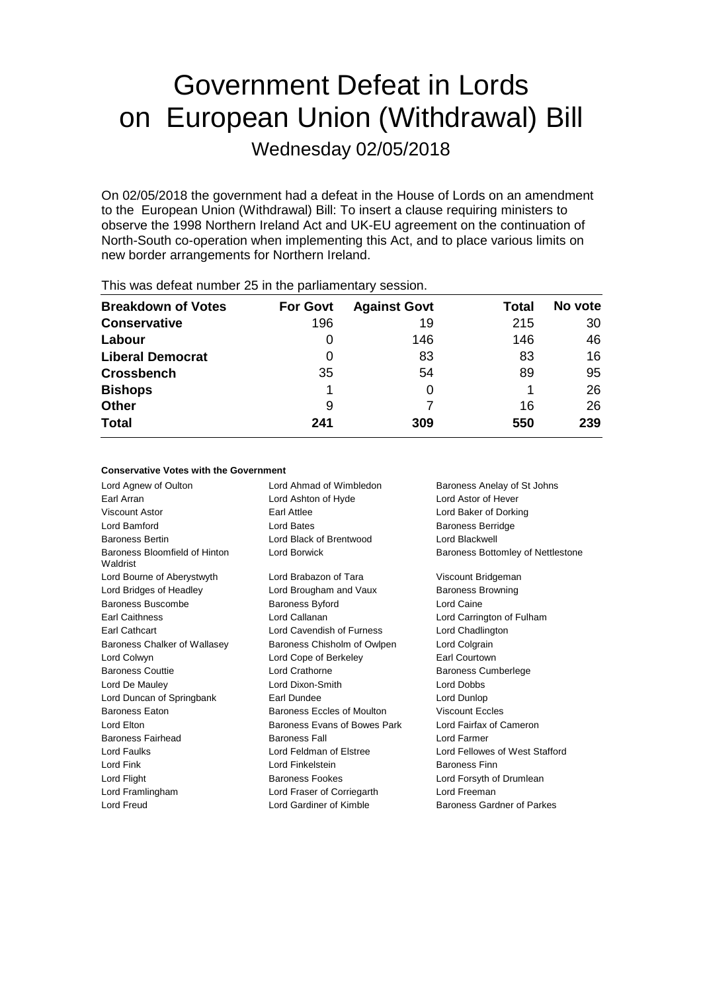# Government Defeat in Lords on European Union (Withdrawal) Bill

Wednesday 02/05/2018

On 02/05/2018 the government had a defeat in the House of Lords on an amendment to the European Union (Withdrawal) Bill: To insert a clause requiring ministers to observe the 1998 Northern Ireland Act and UK-EU agreement on the continuation of North-South co-operation when implementing this Act, and to place various limits on new border arrangements for Northern Ireland.

| <b>Breakdown of Votes</b> | <b>For Govt</b> | <b>Against Govt</b> | Total | No vote |
|---------------------------|-----------------|---------------------|-------|---------|
| <b>Conservative</b>       | 196             | 19                  | 215   | 30      |
| Labour                    | O               | 146                 | 146   | 46      |
| <b>Liberal Democrat</b>   | 0               | 83                  | 83    | 16      |
| <b>Crossbench</b>         | 35              | 54                  | 89    | 95      |
| <b>Bishops</b>            |                 | 0                   |       | 26      |
| <b>Other</b>              | 9               |                     | 16    | 26      |
| <b>Total</b>              | 241             | 309                 | 550   | 239     |
|                           |                 |                     |       |         |

This was defeat number 25 in the parliamentary session.

### **Conservative Votes with the Government**

Lord Agnew of Oulton **Lord Ahmad of Wimbledon** Baroness Anelay of St Johns Earl Arran Lord Ashton of Hyde Lord Astor of Hever Viscount Astor Earl Attlee Lord Baker of Dorking Lord Bamford **Lord Bates Lord Bates Baroness Berridge** Baroness Bertin Lord Black of Brentwood Lord Blackwell Baroness Bloomfield of Hinton Waldrist Lord Borwick **Baroness Bottomley of Nettlestone** Lord Bourne of Aberystwyth Lord Brabazon of Tara Viscount Bridgeman Lord Bridges of Headley **Lord Brougham and Vaux** Baroness Browning Baroness Buscombe **Baroness Byford** Baroness Byford Lord Caine Earl Caithness Lord Callanan Lord Carrington of Fulham Earl Cathcart Lord Cavendish of Furness Lord Chadlington Baroness Chalker of Wallasey Baroness Chisholm of Owlpen Lord Colgrain Lord Colwyn Lord Cope of Berkeley Earl Courtown Baroness Couttie Lord Crathorne Baroness Cumberlege Lord De Mauley Lord Dixon-Smith Lord Dobbs Lord Duncan of Springbank Earl Dundee Lord Dunlop Baroness Eaton Baroness Eccles of Moulton Viscount Eccles Lord Elton **Baroness Evans of Bowes Park** Lord Fairfax of Cameron Baroness Fairhead Baroness Fall Lord Farmer Lord Faulks Lord Feldman of Elstree Lord Fellowes of West Stafford Lord Fink Lord Finkelstein Baroness Finn Lord Flight **Baroness Fookes** Lord Forsyth of Drumlean Lord Framlingham Lord Fraser of Corriegarth Lord Freeman Lord Freud Lord Gardiner of Kimble Baroness Gardner of Parkes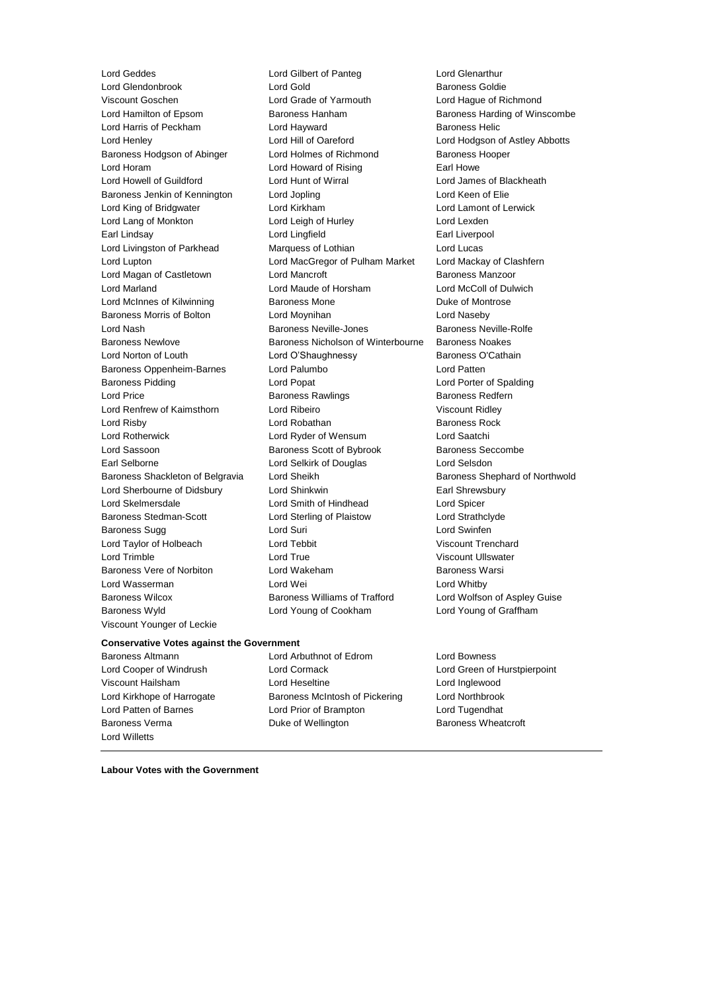Viscount Younger of Leckie

Lord Geddes Lord Gilbert of Panteg Lord Glenarthur Lord Glendonbrook Lord Gold Baroness Goldie Viscount Goschen Lord Grade of Yarmouth Lord Hague of Richmond Lord Hamilton of Epsom Baroness Hanham Baroness Harding of Winscombe Lord Harris of Peckham Lord Hayward Baroness Helic Lord Henley Lord Hill of Oareford Lord Hodgson of Astley Abbotts Baroness Hodgson of Abinger Lord Holmes of Richmond Baroness Hooper Lord Horam Lord Howard of Rising Earl Howe Lord Howell of Guildford Lord Hunt of Wirral Lord James of Blackheath Baroness Jenkin of Kennington Lord Jopling Communication Lord Keen of Elie Lord King of Bridgwater Lord Kirkham Lord Lamont of Lerwick Lord Lang of Monkton **Lord Leigh of Hurley** Lord Lexden Earl Lindsay Lord Lingfield Earl Liverpool Lord Livingston of Parkhead Marquess of Lothian Lord Lucas Lord Lupton Lord MacGregor of Pulham Market Lord Mackay of Clashfern Lord Magan of Castletown Lord Mancroft Baroness Manzoor Lord Marland Lord Maude of Horsham Lord McColl of Dulwich Lord McInnes of Kilwinning **Baroness Mone Baroness Mone Duke of Montrose** Baroness Morris of Bolton Lord Moynihan Lord Naseby Lord Nash Baroness Neville-Jones Baroness Neville-Rolfe Baroness Newlove Baroness Nicholson of Winterbourne Baroness Noakes Lord Norton of Louth Lord O'Shaughnessy Baroness O'Cathain Baroness Oppenheim-Barnes Lord Palumbo Lord Patten Baroness Pidding Lord Popat Lord Porter of Spalding Lord Price **Baroness Rawlings** Baroness Redfern Lord Renfrew of Kaimsthorn Lord Ribeiro Viscount Ridley Lord Risby **Lord Robathan** Baroness Rock **Lord Robathan** Baroness Rock Lord Rotherwick Lord Ryder of Wensum Lord Saatchi Lord Sassoon **Baroness Scott of Bybrook** Baroness Seccombe Earl Selborne Lord Selkirk of Douglas Lord Selsdon Baroness Shackleton of Belgravia Lord Sheikh Baroness Shephard of Northwold Lord Sherbourne of Didsbury Lord Shinkwin **Earl Shinkwin** Earl Shrewsbury Lord Skelmersdale Lord Smith of Hindhead Lord Spicer Baroness Stedman-Scott Lord Sterling of Plaistow Lord Strathclyde Baroness Sugg **Lord Suri** Lord Suri **Lord Swinfen** Lord Taylor of Holbeach Lord Tebbit Viscount Trenchard Lord Trimble Lord True Viscount Ullswater Baroness Vere of Norbiton Lord Wakeham Baroness Warsi Lord Wasserman **Lord Wei** Lord Wei **Lord Whitby** Baroness Wilcox Baroness Williams of Trafford Lord Wolfson of Aspley Guise Baroness Wyld Lord Young of Cookham Lord Young of Graffham

### **Conservative Votes against the Government**

Lord Willetts

Baroness Altmann Lord Arbuthnot of Edrom Lord Bowness Lord Cooper of Windrush Lord Cormack Lord Green of Hurstpierpoint Viscount Hailsham Lord Heseltine Lord Inglewood Lord Kirkhope of Harrogate Baroness McIntosh of Pickering Lord Northbrook Lord Patten of Barnes Lord Prior of Brampton Lord Tugendhat Baroness Verma **Duke of Wellington** Baroness Wheatcroft

**Labour Votes with the Government**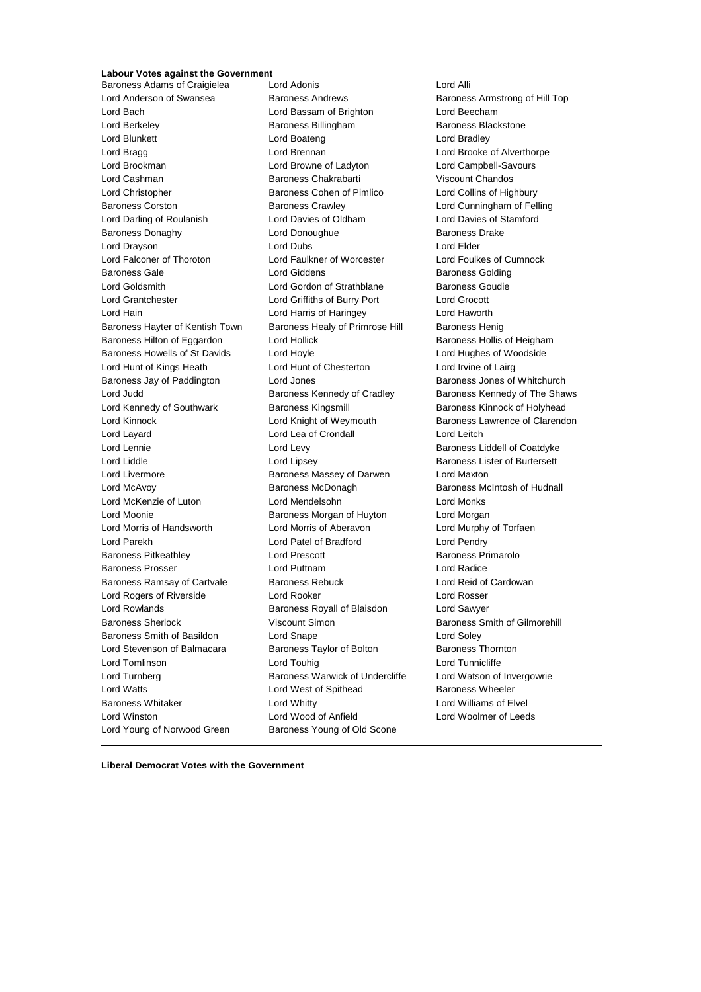# **Labour Votes against the Government**

Baroness Adams of Craigielea Lord Adonis Cord Alli Lord Anderson of Swansea Baroness Andrews Baroness Armstrong of Hill Top Lord Bach Lord Bassam of Brighton Lord Beecham Lord Berkeley **Baroness Billingham** Baroness Blackstone Lord Blunkett **Lord Boateng** Lord Bradley **Lord Bradley** Lord Bragg **Lord Brennan** Lord Brennan Lord Brooke of Alverthorpe Lord Brookman Lord Browne of Ladyton Lord Campbell-Savours Lord Cashman Baroness Chakrabarti Viscount Chandos Lord Christopher Baroness Cohen of Pimlico Lord Collins of Highbury Baroness Corston Baroness Crawley Lord Cunningham of Felling Lord Darling of Roulanish Lord Davies of Oldham Lord Davies of Stamford Baroness Donaghy Lord Donoughue Baroness Drake Lord Drayson Lord Dubs Lord Elder Lord Falconer of Thoroton Lord Faulkner of Worcester Lord Foulkes of Cumnock Baroness Gale **Baroness Golding** Lord Giddens **Baroness Golding** Lord Goldsmith **Lord Gordon of Strathblane** Baroness Goudie Lord Grantchester Lord Griffiths of Burry Port Lord Grocott Lord Hain Lord Harris of Haringey Lord Haworth Baroness Hayter of Kentish Town Baroness Healy of Primrose Hill Baroness Henig Baroness Hilton of Eggardon Lord Hollick **Baroness Hollis of Heigham** Baroness Howells of St Davids Lord Hoyle Lord Hughes of Woodside Lord Hunt of Kings Heath Lord Hunt of Chesterton Lord Irvine of Lairg Baroness Jay of Paddington **Lord Jones Lord Baroness Jones of Whitchurch** Lord Judd **Baroness Kennedy of Cradley** Baroness Kennedy of The Shaws Lord Kennedy of Southwark **Baroness Kingsmill** Baroness Kinnock of Holyhead Lord Kinnock **Lord Knight of Weymouth** Baroness Lawrence of Clarendon Lord Layard Lord Lea of Crondall Lord Leitch Lord Lennie Lord Levy Baroness Liddell of Coatdyke Lord Liddle Lord Lipsey Baroness Lister of Burtersett Lord Livermore **Baroness Massey of Darwen** Lord Maxton Lord McAvoy Baroness McDonagh Baroness McIntosh of Hudnall Lord McKenzie of Luton Lord Mendelsohn Lord Monks Lord Moonie Baroness Morgan of Huyton Lord Morgan Lord Morris of Handsworth Lord Morris of Aberavon Lord Murphy of Torfaen Lord Parekh Lord Patel of Bradford Lord Pendry Baroness Pitkeathley **Resection** Lord Prescott **Baroness Primarolo** Baroness Primarolo Baroness Prosser Lord Puttnam Lord Radice Baroness Ramsay of Cartvale Baroness Rebuck Lord Reid of Cardowan Lord Rogers of Riverside Lord Rooker Lord Rosser Lord Rowlands Baroness Royall of Blaisdon Lord Sawyer Baroness Sherlock Viscount Simon Baroness Smith of Gilmorehill Baroness Smith of Basildon Lord Snape Lord Soley Lord Stevenson of Balmacara Baroness Taylor of Bolton Baroness Thornton Lord Tomlinson Lord Touhig Lord Tunnicliffe Lord Turnberg **Baroness Warwick of Undercliffe** Lord Watson of Invergowrie Lord Watts **Lord West of Spithead** Baroness Wheeler Baroness Whitaker **Lord Whitty** Lord Whitty **Lord Williams** of Elvel Lord Winston Lord Wood of Anfield Lord Woolmer of Leeds Lord Young of Norwood Green Baroness Young of Old Scone

**Liberal Democrat Votes with the Government**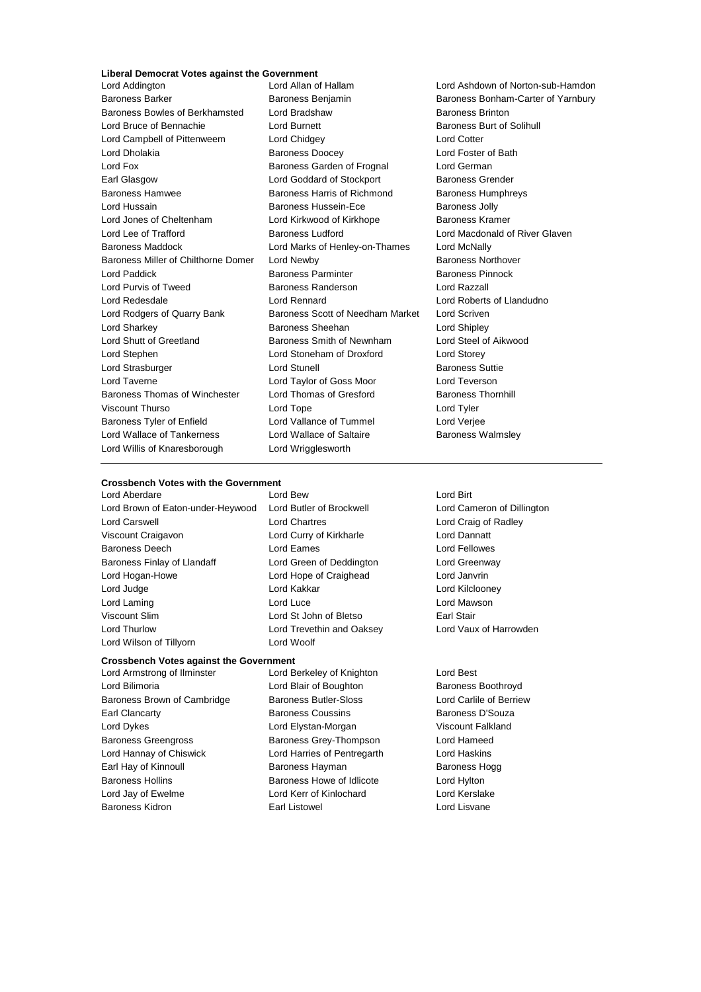# **Liberal Democrat Votes against the Government**

Baroness Barker Baroness Benjamin Baroness Benjamin Baroness Bonham-Carter of Yarnbury Baroness Bowles of Berkhamsted Lord Bradshaw Baroness Brinton Lord Bruce of Bennachie **Lord Burnett** Lord Burnett **Baroness Burt of Solihull** Lord Campbell of Pittenweem Lord Chidgey Lord Cotter Lord Dholakia Baroness Doocey Lord Foster of Bath Lord Fox Baroness Garden of Frognal Lord German Earl Glasgow **Lord Goddard of Stockport** Baroness Grender Baroness Hamwee Baroness Harris of Richmond Baroness Humphreys Lord Hussain Baroness Hussein-Ece Baroness Jolly Lord Jones of Cheltenham Lord Kirkwood of Kirkhope Baroness Kramer Lord Lee of Trafford **Baroness Ludford** Lord Macdonald of River Glaven Baroness Maddock Lord Marks of Henley-on-Thames Lord McNally Baroness Miller of Chilthorne Domer Lord Newby **Baroness Northover** Baroness Northover Lord Paddick Baroness Parminter Baroness Pinnock Lord Purvis of Tweed **Baroness Randerson** Baroness Randerson **Lord Razzall** Lord Redesdale Lord Rennard Lord Roberts of Llandudno Lord Rodgers of Quarry Bank Baroness Scott of Needham Market Lord Scriven Lord Sharkey **Baroness Sheehan** Lord Shipley **Lord Shipley** Lord Shutt of Greetland Baroness Smith of Newnham Lord Steel of Aikwood Lord Stephen Lord Stoneham of Droxford Lord Storey Lord Strasburger **Lord Stunell** Lord Stunell **Baroness** Suttie Lord Taverne Lord Taylor of Goss Moor Lord Teverson Baroness Thomas of Winchester Lord Thomas of Gresford Baroness Thornhill Viscount Thurso Lord Tope Lord Tyler Baroness Tyler of Enfield Lord Vallance of Tummel Lord Verjee Lord Wallace of Tankerness **Lord Wallace of Saltaire** Baroness Walmsley Lord Willis of Knaresborough Lord Wrigglesworth

# Lord Ashdown of Norton-sub-Hamdon

# **Crossbench Votes with the Government**<br>Lord Aberdare Lord Rew

Lord Brown of Eaton-under-Heywood Lord Butler of Brockwell Lord Cameron of Dillington Lord Carswell Lord Chartres Lord Craig of Radley Viscount Craigavon Lord Curry of Kirkharle Lord Dannatt Baroness Deech Lord Eames Lord Fellowes Baroness Finlay of Llandaff Lord Green of Deddington Lord Greenway Lord Hogan-Howe Lord Hope of Craighead Lord Janvrin Lord Judge Lord Kakkar Lord Kilclooney Lord Laming Lord Luce Lord Mawson Viscount Slim Lord St John of Bletso Earl Stair Lord Thurlow Lord Trevethin and Oaksey Lord Vaux of Harrowden Lord Wilson of Tillyorn Lord Woolf

# **Crossbench Votes against the Government**

- Lord Bilimoria **Community Constructs** Lord Blair of Boughton **Baroness Boothroyd** Baroness Brown of Cambridge Baroness Butler-Sloss Lord Carlile of Berriew Earl Clancarty **Baroness Coussins** Baroness D'Souza Lord Dykes **Lord Elystan-Morgan** Viscount Falkland Baroness Greengross Baroness Grey-Thompson Lord Hameed Lord Hannay of Chiswick Lord Harries of Pentregarth Lord Haskins Earl Hay of Kinnoull **Baroness Hayman** Baroness Hogg Baroness Hogg Baroness Hollins Baroness Howe of Idlicote Lord Hylton Lord Jay of Ewelme Lord Kerr of Kinlochard Lord Kerslake Baroness Kidron **Earl Listowel** Communist Conduction Lord Lisvane
- Lord Aberdare Lord Bew Lord Birt
- Lord Armstrong of Ilminster Lord Berkeley of Knighton Lord Best